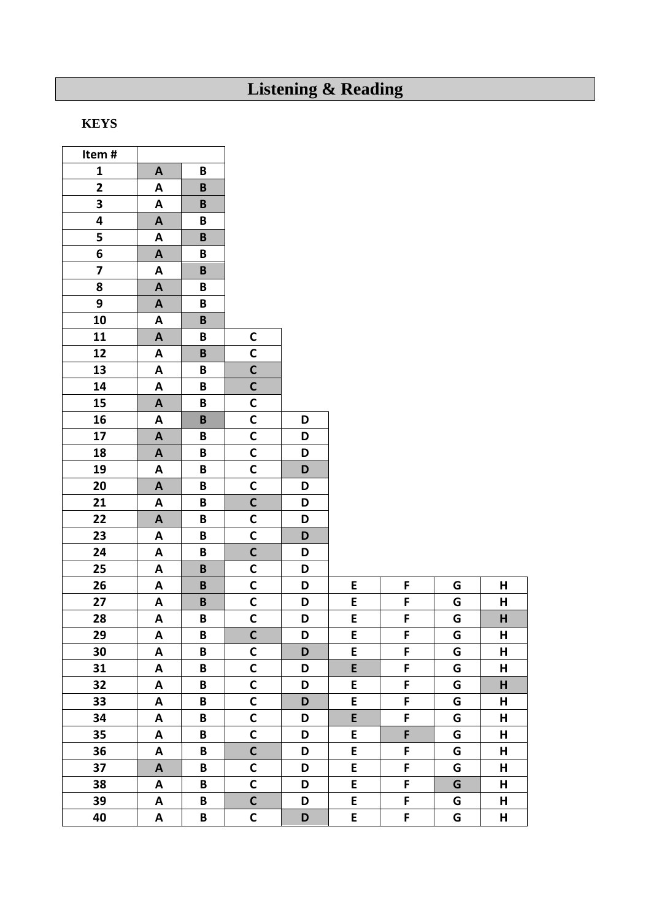## **Listening & Reading**

## **KEYS**

 $\overline{1}$ 

| $\mathbf{1}$<br>B<br>A<br>$\mathbf{2}$<br>A<br>B<br>3<br>$\pmb B$<br>A<br>$\overline{\mathbf{4}}$<br>B<br>$\boldsymbol{A}$<br>5<br>A<br>$\pmb B$<br>6<br>B<br>$\mathbf{A}$<br>$\overline{\mathbf{z}}$<br>A<br>B<br>8<br>B<br>$\mathbf{A}$<br>9<br>$\boldsymbol{\mathsf{A}}$<br>B<br>10<br>$\mathsf B$<br>A<br>$\mathsf C$<br>11<br>$\mathbf{A}$<br>B<br>$\mathsf{C}$<br>12<br>A<br>B<br>$\mathbf c$<br>13<br>B<br>A<br>$\mathbf C$<br>14<br>A<br>B<br>$\mathsf{C}$<br>15<br>B<br>A<br>$\mathbf C$<br>16<br>$\pmb B$<br>A<br>D<br>$\mathsf{C}$<br>17<br>A<br>В<br>D<br>$\mathsf{C}$<br>18<br>$\boldsymbol{A}$<br>B<br>D<br>$\mathsf{C}$<br>19<br>B<br>D<br>A<br>$\mathbf C$<br>20<br>D<br>$\boldsymbol{\mathsf{A}}$<br>B<br>$\mathbf c$<br>21<br>A<br>B<br>D<br>$\mathsf{C}$<br>22<br>$\mathbf{A}$<br>D<br>B<br>$\mathsf{C}$<br>23<br>A<br>B<br>D<br>$\overline{\mathsf{C}}$<br>24<br>A<br>B<br>D<br>$\mathsf C$<br>25<br>A<br>$\mathsf B$<br>D<br>$\mathsf{C}$<br>26<br>$\pmb B$<br>D<br>E<br>F<br>G<br>A<br>Н | Item # |  |
|----------------------------------------------------------------------------------------------------------------------------------------------------------------------------------------------------------------------------------------------------------------------------------------------------------------------------------------------------------------------------------------------------------------------------------------------------------------------------------------------------------------------------------------------------------------------------------------------------------------------------------------------------------------------------------------------------------------------------------------------------------------------------------------------------------------------------------------------------------------------------------------------------------------------------------------------------------------------------------------------------------------|--------|--|
|                                                                                                                                                                                                                                                                                                                                                                                                                                                                                                                                                                                                                                                                                                                                                                                                                                                                                                                                                                                                                |        |  |
|                                                                                                                                                                                                                                                                                                                                                                                                                                                                                                                                                                                                                                                                                                                                                                                                                                                                                                                                                                                                                |        |  |
|                                                                                                                                                                                                                                                                                                                                                                                                                                                                                                                                                                                                                                                                                                                                                                                                                                                                                                                                                                                                                |        |  |
|                                                                                                                                                                                                                                                                                                                                                                                                                                                                                                                                                                                                                                                                                                                                                                                                                                                                                                                                                                                                                |        |  |
|                                                                                                                                                                                                                                                                                                                                                                                                                                                                                                                                                                                                                                                                                                                                                                                                                                                                                                                                                                                                                |        |  |
|                                                                                                                                                                                                                                                                                                                                                                                                                                                                                                                                                                                                                                                                                                                                                                                                                                                                                                                                                                                                                |        |  |
|                                                                                                                                                                                                                                                                                                                                                                                                                                                                                                                                                                                                                                                                                                                                                                                                                                                                                                                                                                                                                |        |  |
|                                                                                                                                                                                                                                                                                                                                                                                                                                                                                                                                                                                                                                                                                                                                                                                                                                                                                                                                                                                                                |        |  |
|                                                                                                                                                                                                                                                                                                                                                                                                                                                                                                                                                                                                                                                                                                                                                                                                                                                                                                                                                                                                                |        |  |
|                                                                                                                                                                                                                                                                                                                                                                                                                                                                                                                                                                                                                                                                                                                                                                                                                                                                                                                                                                                                                |        |  |
|                                                                                                                                                                                                                                                                                                                                                                                                                                                                                                                                                                                                                                                                                                                                                                                                                                                                                                                                                                                                                |        |  |
|                                                                                                                                                                                                                                                                                                                                                                                                                                                                                                                                                                                                                                                                                                                                                                                                                                                                                                                                                                                                                |        |  |
|                                                                                                                                                                                                                                                                                                                                                                                                                                                                                                                                                                                                                                                                                                                                                                                                                                                                                                                                                                                                                |        |  |
|                                                                                                                                                                                                                                                                                                                                                                                                                                                                                                                                                                                                                                                                                                                                                                                                                                                                                                                                                                                                                |        |  |
|                                                                                                                                                                                                                                                                                                                                                                                                                                                                                                                                                                                                                                                                                                                                                                                                                                                                                                                                                                                                                |        |  |
|                                                                                                                                                                                                                                                                                                                                                                                                                                                                                                                                                                                                                                                                                                                                                                                                                                                                                                                                                                                                                |        |  |
|                                                                                                                                                                                                                                                                                                                                                                                                                                                                                                                                                                                                                                                                                                                                                                                                                                                                                                                                                                                                                |        |  |
|                                                                                                                                                                                                                                                                                                                                                                                                                                                                                                                                                                                                                                                                                                                                                                                                                                                                                                                                                                                                                |        |  |
|                                                                                                                                                                                                                                                                                                                                                                                                                                                                                                                                                                                                                                                                                                                                                                                                                                                                                                                                                                                                                |        |  |
|                                                                                                                                                                                                                                                                                                                                                                                                                                                                                                                                                                                                                                                                                                                                                                                                                                                                                                                                                                                                                |        |  |
|                                                                                                                                                                                                                                                                                                                                                                                                                                                                                                                                                                                                                                                                                                                                                                                                                                                                                                                                                                                                                |        |  |
|                                                                                                                                                                                                                                                                                                                                                                                                                                                                                                                                                                                                                                                                                                                                                                                                                                                                                                                                                                                                                |        |  |
|                                                                                                                                                                                                                                                                                                                                                                                                                                                                                                                                                                                                                                                                                                                                                                                                                                                                                                                                                                                                                |        |  |
|                                                                                                                                                                                                                                                                                                                                                                                                                                                                                                                                                                                                                                                                                                                                                                                                                                                                                                                                                                                                                |        |  |
|                                                                                                                                                                                                                                                                                                                                                                                                                                                                                                                                                                                                                                                                                                                                                                                                                                                                                                                                                                                                                |        |  |
|                                                                                                                                                                                                                                                                                                                                                                                                                                                                                                                                                                                                                                                                                                                                                                                                                                                                                                                                                                                                                |        |  |
| $\mathsf{C}$<br>27<br>E<br>$\pmb B$<br>D<br>F<br>G<br>н<br>A                                                                                                                                                                                                                                                                                                                                                                                                                                                                                                                                                                                                                                                                                                                                                                                                                                                                                                                                                   |        |  |
| $\mathbf C$<br>28<br>E<br>F<br>A<br>B<br>D<br>G<br>н                                                                                                                                                                                                                                                                                                                                                                                                                                                                                                                                                                                                                                                                                                                                                                                                                                                                                                                                                           |        |  |
| $\overline{\mathsf{c}}$<br>E<br>G<br>F<br>29<br>B<br>D<br>н<br>A                                                                                                                                                                                                                                                                                                                                                                                                                                                                                                                                                                                                                                                                                                                                                                                                                                                                                                                                               |        |  |
| $\mathbf C$<br>30<br>E<br>F<br>A<br>B<br>D<br>Н<br>G                                                                                                                                                                                                                                                                                                                                                                                                                                                                                                                                                                                                                                                                                                                                                                                                                                                                                                                                                           |        |  |
| $\mathsf{C}$<br>E.<br>31<br>F<br>B<br>D<br>G<br>н<br>A                                                                                                                                                                                                                                                                                                                                                                                                                                                                                                                                                                                                                                                                                                                                                                                                                                                                                                                                                         |        |  |
| $\mathsf{C}$<br>32<br>E<br>F<br>G<br>H<br>A<br>B<br>D                                                                                                                                                                                                                                                                                                                                                                                                                                                                                                                                                                                                                                                                                                                                                                                                                                                                                                                                                          |        |  |
| $\mathsf{C}$<br>E<br>33<br>F<br>B<br>D<br>G<br>н<br>A                                                                                                                                                                                                                                                                                                                                                                                                                                                                                                                                                                                                                                                                                                                                                                                                                                                                                                                                                          |        |  |
| $\mathsf{C}$<br>E<br>F<br>34<br>G<br>A<br>В<br>D<br>н                                                                                                                                                                                                                                                                                                                                                                                                                                                                                                                                                                                                                                                                                                                                                                                                                                                                                                                                                          |        |  |
| $\mathsf{C}$<br>E<br>35<br>D<br>F<br>G<br>A<br>B<br>н                                                                                                                                                                                                                                                                                                                                                                                                                                                                                                                                                                                                                                                                                                                                                                                                                                                                                                                                                          |        |  |
| $\mathbf C$<br>36<br>B<br>E<br>F<br>A<br>D<br>G<br>н                                                                                                                                                                                                                                                                                                                                                                                                                                                                                                                                                                                                                                                                                                                                                                                                                                                                                                                                                           |        |  |
| $\mathbf C$<br>37<br>D<br>E<br>F<br>G<br>В<br>н<br>A                                                                                                                                                                                                                                                                                                                                                                                                                                                                                                                                                                                                                                                                                                                                                                                                                                                                                                                                                           |        |  |
| $\mathsf{C}$<br>E.<br>F<br>38<br>A<br>B<br>G<br>н<br>D                                                                                                                                                                                                                                                                                                                                                                                                                                                                                                                                                                                                                                                                                                                                                                                                                                                                                                                                                         |        |  |
| $\mathbf c$<br>E<br>F<br>39<br>A<br>B<br>D<br>G<br>н                                                                                                                                                                                                                                                                                                                                                                                                                                                                                                                                                                                                                                                                                                                                                                                                                                                                                                                                                           |        |  |
| $\mathsf{C}$<br>E<br>40<br>B<br>F<br>A<br>D<br>G<br>н                                                                                                                                                                                                                                                                                                                                                                                                                                                                                                                                                                                                                                                                                                                                                                                                                                                                                                                                                          |        |  |